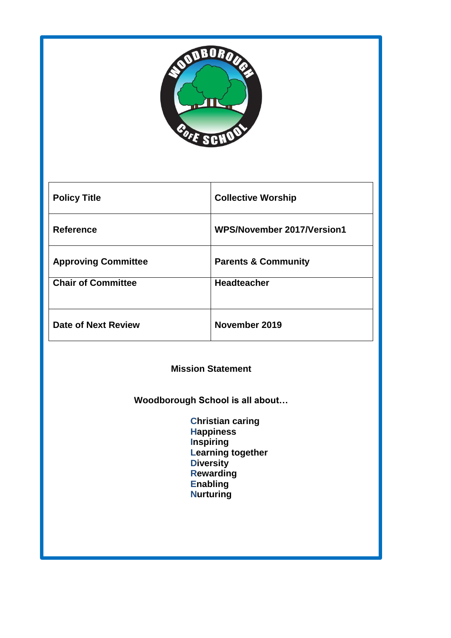

| <b>Policy Title</b>        | <b>Collective Worship</b>      |
|----------------------------|--------------------------------|
| <b>Reference</b>           | WPS/November 2017/Version1     |
| <b>Approving Committee</b> | <b>Parents &amp; Community</b> |
| <b>Chair of Committee</b>  | <b>Headteacher</b>             |
| Date of Next Review        | November 2019                  |

### **Mission Statement**

**Woodborough School is all about…**

 **Christian caring Happiness Inspiring Learning together Diversity Rewarding Enabling Nurturing**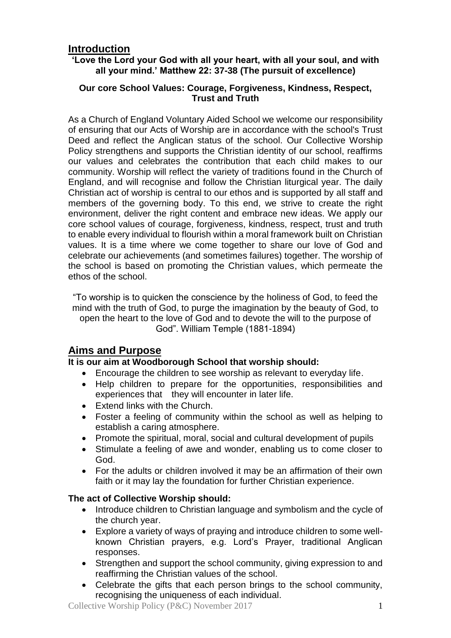# **Introduction**

### **'Love the Lord your God with all your heart, with all your soul, and with all your mind.' Matthew 22: 37-38 (The pursuit of excellence)**

### **Our core School Values: Courage, Forgiveness, Kindness, Respect, Trust and Truth**

As a Church of England Voluntary Aided School we welcome our responsibility of ensuring that our Acts of Worship are in accordance with the school's Trust Deed and reflect the Anglican status of the school. Our Collective Worship Policy strengthens and supports the Christian identity of our school, reaffirms our values and celebrates the contribution that each child makes to our community. Worship will reflect the variety of traditions found in the Church of England, and will recognise and follow the Christian liturgical year. The daily Christian act of worship is central to our ethos and is supported by all staff and members of the governing body. To this end, we strive to create the right environment, deliver the right content and embrace new ideas. We apply our core school values of courage, forgiveness, kindness, respect, trust and truth to enable every individual to flourish within a moral framework built on Christian values. It is a time where we come together to share our love of God and celebrate our achievements (and sometimes failures) together. The worship of the school is based on promoting the Christian values, which permeate the ethos of the school.

"To worship is to quicken the conscience by the holiness of God, to feed the mind with the truth of God, to purge the imagination by the beauty of God, to open the heart to the love of God and to devote the will to the purpose of God". William Temple (1881-1894)

# **Aims and Purpose**

### **It is our aim at Woodborough School that worship should:**

- Encourage the children to see worship as relevant to everyday life.
- Help children to prepare for the opportunities, responsibilities and experiences that they will encounter in later life.
- Extend links with the Church.
- Foster a feeling of community within the school as well as helping to establish a caring atmosphere.
- Promote the spiritual, moral, social and cultural development of pupils
- Stimulate a feeling of awe and wonder, enabling us to come closer to God.
- For the adults or children involved it may be an affirmation of their own faith or it may lay the foundation for further Christian experience.

### **The act of Collective Worship should:**

- Introduce children to Christian language and symbolism and the cycle of the church year.
- Explore a variety of ways of praying and introduce children to some wellknown Christian prayers, e.g. Lord's Prayer, traditional Anglican responses.
- Strengthen and support the school community, giving expression to and reaffirming the Christian values of the school.
- Celebrate the gifts that each person brings to the school community, recognising the uniqueness of each individual.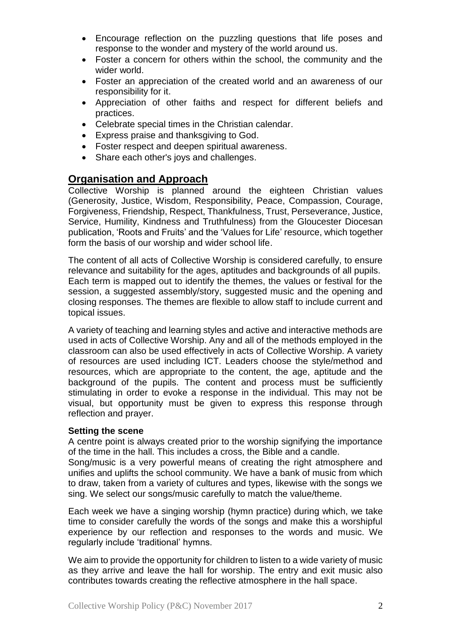- Encourage reflection on the puzzling questions that life poses and response to the wonder and mystery of the world around us.
- Foster a concern for others within the school, the community and the wider world.
- Foster an appreciation of the created world and an awareness of our responsibility for it.
- Appreciation of other faiths and respect for different beliefs and practices.
- Celebrate special times in the Christian calendar.
- Express praise and thanksgiving to God.
- Foster respect and deepen spiritual awareness.
- Share each other's joys and challenges.

# **Organisation and Approach**

Collective Worship is planned around the eighteen Christian values (Generosity, Justice, Wisdom, Responsibility, Peace, Compassion, Courage, Forgiveness, Friendship, Respect, Thankfulness, Trust, Perseverance, Justice, Service, Humility, Kindness and Truthfulness) from the Gloucester Diocesan publication, 'Roots and Fruits' and the 'Values for Life' resource, which together form the basis of our worship and wider school life.

The content of all acts of Collective Worship is considered carefully, to ensure relevance and suitability for the ages, aptitudes and backgrounds of all pupils. Each term is mapped out to identify the themes, the values or festival for the session, a suggested assembly/story, suggested music and the opening and closing responses. The themes are flexible to allow staff to include current and topical issues.

A variety of teaching and learning styles and active and interactive methods are used in acts of Collective Worship. Any and all of the methods employed in the classroom can also be used effectively in acts of Collective Worship. A variety of resources are used including ICT. Leaders choose the style/method and resources, which are appropriate to the content, the age, aptitude and the background of the pupils. The content and process must be sufficiently stimulating in order to evoke a response in the individual. This may not be visual, but opportunity must be given to express this response through reflection and prayer.

#### **Setting the scene**

A centre point is always created prior to the worship signifying the importance of the time in the hall. This includes a cross, the Bible and a candle.

Song/music is a very powerful means of creating the right atmosphere and unifies and uplifts the school community. We have a bank of music from which to draw, taken from a variety of cultures and types, likewise with the songs we sing. We select our songs/music carefully to match the value/theme.

Each week we have a singing worship (hymn practice) during which, we take time to consider carefully the words of the songs and make this a worshipful experience by our reflection and responses to the words and music. We regularly include 'traditional' hymns.

We aim to provide the opportunity for children to listen to a wide variety of music as they arrive and leave the hall for worship. The entry and exit music also contributes towards creating the reflective atmosphere in the hall space.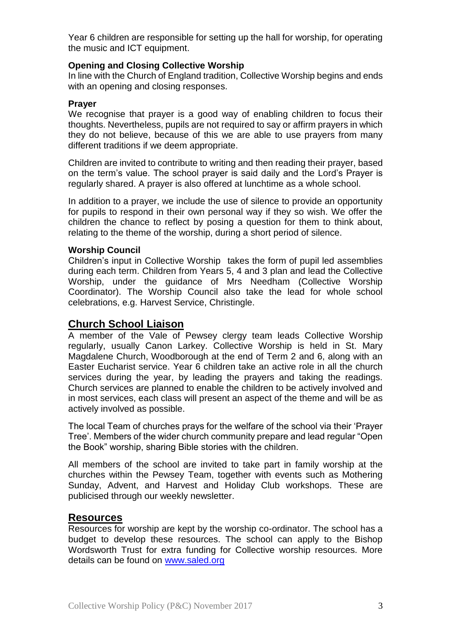Year 6 children are responsible for setting up the hall for worship, for operating the music and ICT equipment.

#### **Opening and Closing Collective Worship**

In line with the Church of England tradition, Collective Worship begins and ends with an opening and closing responses.

#### **Prayer**

We recognise that prayer is a good way of enabling children to focus their thoughts. Nevertheless, pupils are not required to say or affirm prayers in which they do not believe, because of this we are able to use prayers from many different traditions if we deem appropriate.

Children are invited to contribute to writing and then reading their prayer, based on the term's value. The school prayer is said daily and the Lord's Prayer is regularly shared. A prayer is also offered at lunchtime as a whole school.

In addition to a prayer, we include the use of silence to provide an opportunity for pupils to respond in their own personal way if they so wish. We offer the children the chance to reflect by posing a question for them to think about, relating to the theme of the worship, during a short period of silence.

#### **Worship Council**

Children's input in Collective Worship takes the form of pupil led assemblies during each term. Children from Years 5, 4 and 3 plan and lead the Collective Worship, under the guidance of Mrs Needham (Collective Worship Coordinator). The Worship Council also take the lead for whole school celebrations, e.g. Harvest Service, Christingle.

### **Church School Liaison**

A member of the Vale of Pewsey clergy team leads Collective Worship regularly, usually Canon Larkey. Collective Worship is held in St. Mary Magdalene Church, Woodborough at the end of Term 2 and 6, along with an Easter Eucharist service. Year 6 children take an active role in all the church services during the year, by leading the prayers and taking the readings. Church services are planned to enable the children to be actively involved and in most services, each class will present an aspect of the theme and will be as actively involved as possible.

The local Team of churches prays for the welfare of the school via their 'Prayer Tree'. Members of the wider church community prepare and lead regular "Open the Book" worship, sharing Bible stories with the children.

All members of the school are invited to take part in family worship at the churches within the Pewsey Team, together with events such as Mothering Sunday, Advent, and Harvest and Holiday Club workshops. These are publicised through our weekly newsletter.

### **Resources**

Resources for worship are kept by the worship co-ordinator. The school has a budget to develop these resources. The school can apply to the Bishop Wordsworth Trust for extra funding for Collective worship resources. More details can be found on [www.saled.org](http://www.saled.org/)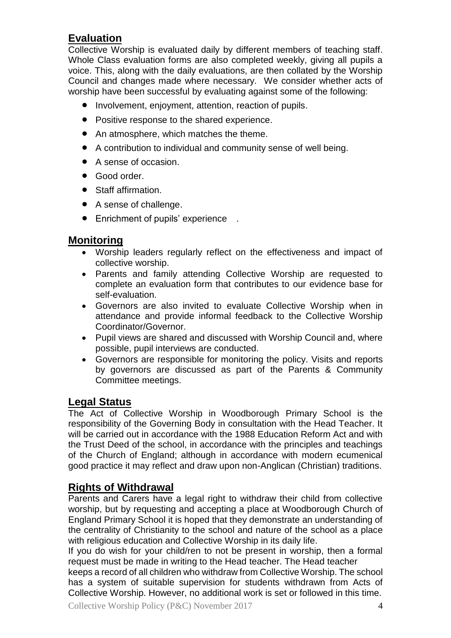# **Evaluation**

Collective Worship is evaluated daily by different members of teaching staff. Whole Class evaluation forms are also completed weekly, giving all pupils a voice. This, along with the daily evaluations, are then collated by the Worship Council and changes made where necessary. We consider whether acts of worship have been successful by evaluating against some of the following:

- Involvement, enjoyment, attention, reaction of pupils.
- Positive response to the shared experience.
- An atmosphere, which matches the theme.
- A contribution to individual and community sense of well being.
- A sense of occasion.
- Good order.
- Staff affirmation.
- A sense of challenge.
- Enrichment of pupils' experience .

### **Monitoring**

- Worship leaders regularly reflect on the effectiveness and impact of collective worship.
- Parents and family attending Collective Worship are requested to complete an evaluation form that contributes to our evidence base for self-evaluation.
- Governors are also invited to evaluate Collective Worship when in attendance and provide informal feedback to the Collective Worship Coordinator/Governor.
- Pupil views are shared and discussed with Worship Council and, where possible, pupil interviews are conducted.
- Governors are responsible for monitoring the policy. Visits and reports by governors are discussed as part of the Parents & Community Committee meetings.

# **Legal Status**

The Act of Collective Worship in Woodborough Primary School is the responsibility of the Governing Body in consultation with the Head Teacher. It will be carried out in accordance with the 1988 Education Reform Act and with the Trust Deed of the school, in accordance with the principles and teachings of the Church of England; although in accordance with modern ecumenical good practice it may reflect and draw upon non-Anglican (Christian) traditions.

# **Rights of Withdrawal**

Parents and Carers have a legal right to withdraw their child from collective worship, but by requesting and accepting a place at Woodborough Church of England Primary School it is hoped that they demonstrate an understanding of the centrality of Christianity to the school and nature of the school as a place with religious education and Collective Worship in its daily life.

If you do wish for your child/ren to not be present in worship, then a formal request must be made in writing to the Head teacher. The Head teacher

keeps a record of all children who withdraw from Collective Worship. The school has a system of suitable supervision for students withdrawn from Acts of Collective Worship. However, no additional work is set or followed in this time.